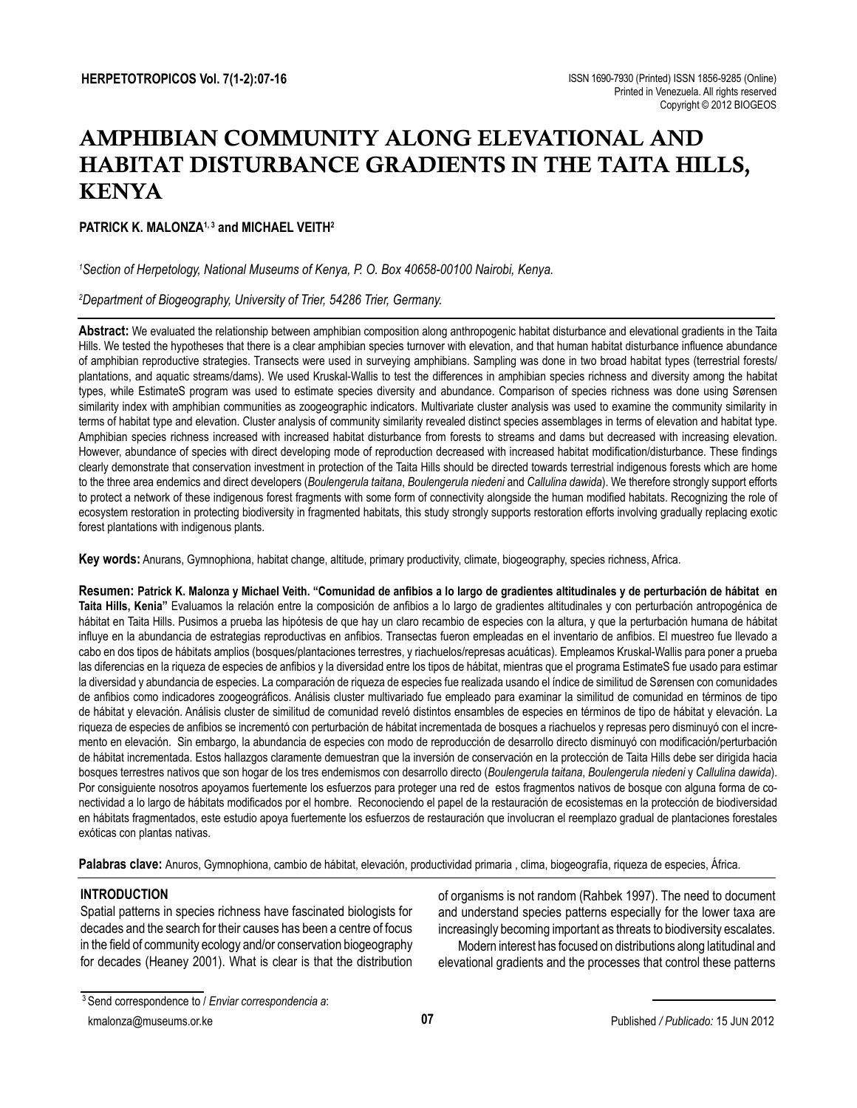# AMPHIBIAN COMMUNITY ALONG ELEVATIONAL AND HABITAT DISTURBANCE GRADIENTS IN THE TAITA HILLS, KENYA

# PATRICK K. MAI ONZA<sup>1,3</sup> and MICHAEL VEITH<sup>2</sup>

# *1 Section of Herpetology, National Museums of Kenya, P. O. Box 40658-00100 Nairobi, Kenya.*

## *2 Department of Biogeography, University of Trier, 54286 Trier, Germany.*

**Abstract:** We evaluated the relationship between amphibian composition along anthropogenic habitat disturbance and elevational gradients in the Taita Hills. We tested the hypotheses that there is a clear amphibian species turnover with elevation, and that human habitat disturbance influence abundance of amphibian reproductive strategies. Transects were used in surveying amphibians. Sampling was done in two broad habitat types (terrestrial forests/ plantations, and aquatic streams/dams). We used Kruskal-Wallis to test the differences in amphibian species richness and diversity among the habitat types, while EstimateS program was used to estimate species diversity and abundance. Comparison of species richness was done using Sørensen similarity index with amphibian communities as zoogeographic indicators. Multivariate cluster analysis was used to examine the community similarity in terms of habitat type and elevation. Cluster analysis of community similarity revealed distinct species assemblages in terms of elevation and habitat type. Amphibian species richness increased with increased habitat disturbance from forests to streams and dams but decreased with increasing elevation. However, abundance of species with direct developing mode of reproduction decreased with increased habitat modification/disturbance. These findings clearly demonstrate that conservation investment in protection of the Taita Hills should be directed towards terrestrial indigenous forests which are home to the three area endemics and direct developers (*Boulengerula taitana*, *Boulengerula niedeni* and *Callulina dawida*). We therefore strongly support efforts to protect a network of these indigenous forest fragments with some form of connectivity alongside the human modified habitats. Recognizing the role of ecosystem restoration in protecting biodiversity in fragmented habitats, this study strongly supports restoration efforts involving gradually replacing exotic forest plantations with indigenous plants.

**Key words:** Anurans, Gymnophiona, habitat change, altitude, primary productivity, climate, biogeography, species richness, Africa.

**Resumen: Patrick K. Malonza y Michael Veith. "Comunidad de anfibios a lo largo de gradientes altitudinales y de perturbación de hábitat en Taita Hills, Kenia"** Evaluamos la relación entre la composición de anfibios a lo largo de gradientes altitudinales y con perturbación antropogénica de hábitat en Taita Hills. Pusimos a prueba las hipótesis de que hay un claro recambio de especies con la altura, y que la perturbación humana de hábitat influye en la abundancia de estrategias reproductivas en anfibios. Transectas fueron empleadas en el inventario de anfibios. El muestreo fue llevado a cabo en dos tipos de hábitats amplios (bosques/plantaciones terrestres, y riachuelos/represas acuáticas). Empleamos Kruskal-Wallis para poner a prueba las diferencias en la riqueza de especies de anfibios y la diversidad entre los tipos de hábitat, mientras que el programa EstimateS fue usado para estimar la diversidad y abundancia de especies. La comparación de riqueza de especies fue realizada usando el índice de similitud de Sørensen con comunidades de anfibios como indicadores zoogeográficos. Análisis cluster multivariado fue empleado para examinar la similitud de comunidad en términos de tipo de hábitat y elevación. Análisis cluster de similitud de comunidad reveló distintos ensambles de especies en términos de tipo de hábitat y elevación. La riqueza de especies de anfibios se incrementó con perturbación de hábitat incrementada de bosques a riachuelos y represas pero disminuyó con el incremento en elevación. Sin embargo, la abundancia de especies con modo de reproducción de desarrollo directo disminuyó con modificación/perturbación de hábitat incrementada. Estos hallazgos claramente demuestran que la inversión de conservación en la protección de Taita Hills debe ser dirigida hacia bosques terrestres nativos que son hogar de los tres endemismos con desarrollo directo (*Boulengerula taitana*, *Boulengerula niedeni* y *Callulina dawida*). Por consiguiente nosotros apoyamos fuertemente los esfuerzos para proteger una red de estos fragmentos nativos de bosque con alguna forma de conectividad a lo largo de hábitats modificados por el hombre. Reconociendo el papel de la restauración de ecosistemas en la protección de biodiversidad en hábitats fragmentados, este estudio apoya fuertemente los esfuerzos de restauración que involucran el reemplazo gradual de plantaciones forestales exóticas con plantas nativas.

Palabras clave: Anuros, Gymnophiona, cambio de hábitat, elevación, productividad primaria, clima, biogeografía, riqueza de especies, África.

## **INTRODUCTION**

Spatial patterns in species richness have fascinated biologists for decades and the search for their causes has been a centre of focus in the field of community ecology and/or conservation biogeography for decades (Heaney 2001). What is clear is that the distribution

of organisms is not random (Rahbek 1997). The need to document and understand species patterns especially for the lower taxa are increasingly becoming important as threats to biodiversity escalates.

Modern interest has focused on distributions along latitudinal and elevational gradients and the processes that control these patterns

kmalonza@museums.or.ke

<sup>3</sup> Send correspondence to / *Enviar correspondencia a*: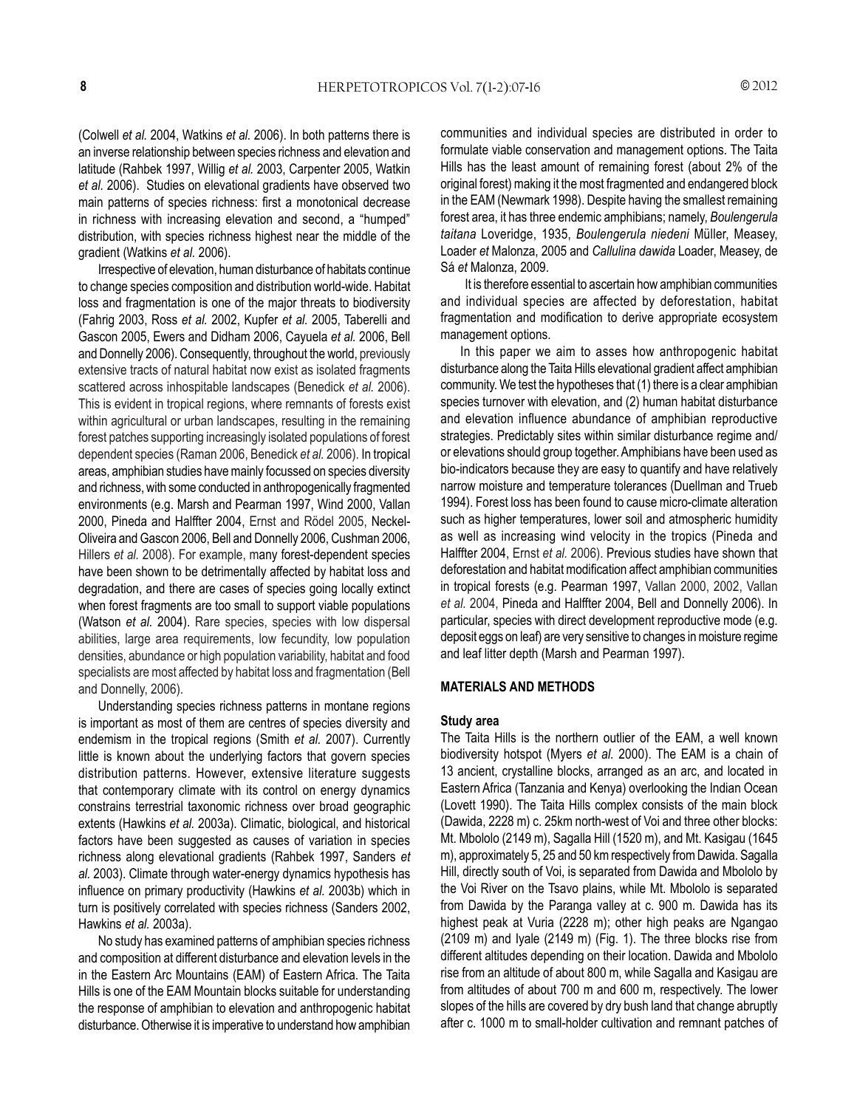(Colwell *et al.* 2004, Watkins *et al.* 2006). In both patterns there is an inverse relationship between species richness and elevation and latitude (Rahbek 1997, Willig *et al.* 2003, Carpenter 2005, Watkin *et al.* 2006). Studies on elevational gradients have observed two main patterns of species richness: first a monotonical decrease in richness with increasing elevation and second, a "humped" distribution, with species richness highest near the middle of the gradient (Watkins *et al.* 2006).

Irrespective of elevation, human disturbance of habitats continue to change species composition and distribution world-wide. Habitat loss and fragmentation is one of the major threats to biodiversity (Fahrig 2003, Ross *et al.* 2002, Kupfer *et al.* 2005, Taberelli and Gascon 2005, Ewers and Didham 2006, Cayuela *et al.* 2006, Bell and Donnelly 2006). Consequently, throughout the world, previously extensive tracts of natural habitat now exist as isolated fragments scattered across inhospitable landscapes (Benedick *et al.* 2006). This is evident in tropical regions, where remnants of forests exist within agricultural or urban landscapes, resulting in the remaining forest patches supporting increasingly isolated populations of forest dependent species (Raman 2006, Benedick *et al.* 2006). In tropical areas, amphibian studies have mainly focussed on species diversity and richness, with some conducted in anthropogenically fragmented environments (e.g. Marsh and Pearman 1997, Wind 2000, Vallan 2000, Pineda and Halffter 2004, Ernst and Rödel 2005, Neckel-Oliveira and Gascon 2006, Bell and Donnelly 2006, Cushman 2006, Hillers *et al.* 2008). For example, many forest-dependent species have been shown to be detrimentally affected by habitat loss and degradation, and there are cases of species going locally extinct when forest fragments are too small to support viable populations (Watson *et al.* 2004). Rare species, species with low dispersal abilities, large area requirements, low fecundity, low population densities, abundance or high population variability, habitat and food specialists are most affected by habitat loss and fragmentation (Bell and Donnelly, 2006).

Understanding species richness patterns in montane regions is important as most of them are centres of species diversity and endemism in the tropical regions (Smith *et al.* 2007). Currently little is known about the underlying factors that govern species distribution patterns. However, extensive literature suggests that contemporary climate with its control on energy dynamics constrains terrestrial taxonomic richness over broad geographic extents (Hawkins *et al.* 2003a). Climatic, biological, and historical factors have been suggested as causes of variation in species richness along elevational gradients (Rahbek 1997, Sanders *et al.* 2003). Climate through water-energy dynamics hypothesis has influence on primary productivity (Hawkins *et al.* 2003b) which in turn is positively correlated with species richness (Sanders 2002, Hawkins *et al.* 2003a).

No study has examined patterns of amphibian species richness and composition at different disturbance and elevation levels in the in the Eastern Arc Mountains (EAM) of Eastern Africa. The Taita Hills is one of the EAM Mountain blocks suitable for understanding the response of amphibian to elevation and anthropogenic habitat disturbance. Otherwise it is imperative to understand how amphibian communities and individual species are distributed in order to formulate viable conservation and management options. The Taita Hills has the least amount of remaining forest (about 2% of the original forest) making it the most fragmented and endangered block in the EAM (Newmark 1998). Despite having the smallest remaining forest area, it has three endemic amphibians; namely, *Boulengerula taitana* Loveridge, 1935, *Boulengerula niedeni* Müller, Measey, Loader *et* Malonza, 2005 and *Callulina dawida* Loader, Measey, de Sá *et* Malonza, 2009.

 It is therefore essential to ascertain how amphibian communities and individual species are affected by deforestation, habitat fragmentation and modification to derive appropriate ecosystem management options.

In this paper we aim to asses how anthropogenic habitat disturbance along the Taita Hills elevational gradient affect amphibian community. We test the hypotheses that (1) there is a clear amphibian species turnover with elevation, and (2) human habitat disturbance and elevation influence abundance of amphibian reproductive strategies. Predictably sites within similar disturbance regime and/ or elevations should group together. Amphibians have been used as bio-indicators because they are easy to quantify and have relatively narrow moisture and temperature tolerances (Duellman and Trueb 1994). Forest loss has been found to cause micro-climate alteration such as higher temperatures, lower soil and atmospheric humidity as well as increasing wind velocity in the tropics (Pineda and Halffter 2004, Ernst *et al.* 2006). Previous studies have shown that deforestation and habitat modification affect amphibian communities in tropical forests (e.g. Pearman 1997, Vallan 2000, 2002, Vallan *et al.* 2004, Pineda and Halffter 2004, Bell and Donnelly 2006). In particular, species with direct development reproductive mode (e.g. deposit eggs on leaf) are very sensitive to changes in moisture regime and leaf litter depth (Marsh and Pearman 1997).

## **MATERIALS AND METHODS**

#### **Study area**

The Taita Hills is the northern outlier of the EAM, a well known biodiversity hotspot (Myers *et al.* 2000). The EAM is a chain of 13 ancient, crystalline blocks, arranged as an arc, and located in Eastern Africa (Tanzania and Kenya) overlooking the Indian Ocean (Lovett 1990). The Taita Hills complex consists of the main block (Dawida, 2228 m) c. 25km north-west of Voi and three other blocks: Mt. Mbololo (2149 m), Sagalla Hill (1520 m), and Mt. Kasigau (1645 m), approximately 5, 25 and 50 km respectively from Dawida. Sagalla Hill, directly south of Voi, is separated from Dawida and Mbololo by the Voi River on the Tsavo plains, while Mt. Mbololo is separated from Dawida by the Paranga valley at c. 900 m. Dawida has its highest peak at Vuria (2228 m); other high peaks are Ngangao (2109 m) and Iyale (2149 m) (Fig. 1). The three blocks rise from different altitudes depending on their location. Dawida and Mbololo rise from an altitude of about 800 m, while Sagalla and Kasigau are from altitudes of about 700 m and 600 m, respectively. The lower slopes of the hills are covered by dry bush land that change abruptly after c. 1000 m to small-holder cultivation and remnant patches of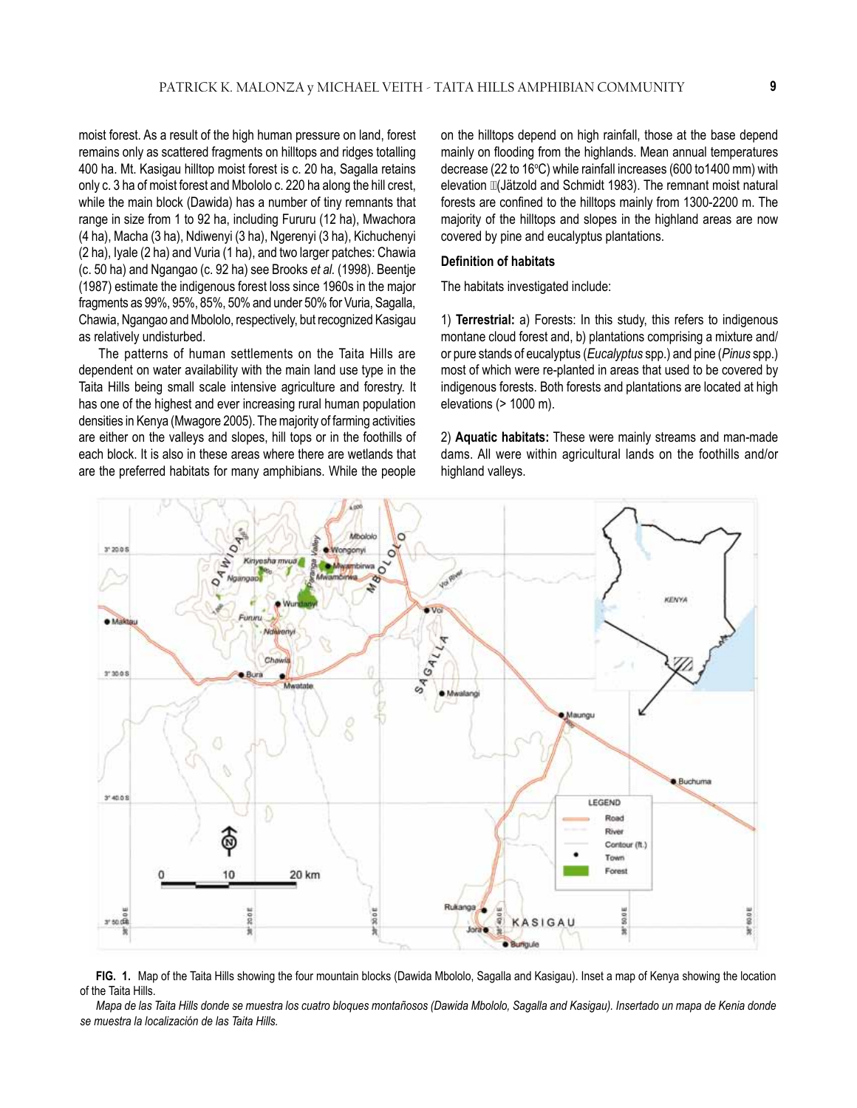moist forest. As a result of the high human pressure on land, forest remains only as scattered fragments on hilltops and ridges totalling 400 ha. Mt. Kasigau hilltop moist forest is c. 20 ha, Sagalla retains only c. 3 ha of moist forest and Mbololo c. 220 ha along the hill crest, while the main block (Dawida) has a number of tiny remnants that range in size from 1 to 92 ha, including Fururu (12 ha), Mwachora (4 ha), Macha (3 ha), Ndiwenyi (3 ha), Ngerenyi (3 ha), Kichuchenyi (2 ha), Iyale (2 ha) and Vuria (1 ha), and two larger patches: Chawia (c. 50 ha) and Ngangao (c. 92 ha) see Brooks *et al.* (1998). Beentje (1987) estimate the indigenous forest loss since 1960s in the major fragments as 99%, 95%, 85%, 50% and under 50% for Vuria, Sagalla, Chawia, Ngangao and Mbololo, respectively, but recognized Kasigau as relatively undisturbed.

The patterns of human settlements on the Taita Hills are dependent on water availability with the main land use type in the Taita Hills being small scale intensive agriculture and forestry. It has one of the highest and ever increasing rural human population densities in Kenya (Mwagore 2005). The majority of farming activities are either on the valleys and slopes, hill tops or in the foothills of each block. It is also in these areas where there are wetlands that are the preferred habitats for many amphibians. While the people

on the hilltops depend on high rainfall, those at the base depend mainly on flooding from the highlands. Mean annual temperatures decrease (22 to 16°C) while rainfall increases (600 to1400 mm) with elevation  $\mathbb{I}$ (Jätzold and Schmidt 1983). The remnant moist natural forests are confined to the hilltops mainly from 1300-2200 m. The majority of the hilltops and slopes in the highland areas are now covered by pine and eucalyptus plantations.

#### **Definition of habitats**

The habitats investigated include:

1) **Terrestrial:** a) Forests: In this study, this refers to indigenous montane cloud forest and, b) plantations comprising a mixture and/ or pure stands of eucalyptus (*Eucalyptus* spp.) and pine (*Pinus* spp.) most of which were re-planted in areas that used to be covered by indigenous forests. Both forests and plantations are located at high elevations (> 1000 m).

2) **Aquatic habitats:** These were mainly streams and man-made dams. All were within agricultural lands on the foothills and/or highland valleys.



**FIG. 1.** Map of the Taita Hills showing the four mountain blocks (Dawida Mbololo, Sagalla and Kasigau). Inset a map of Kenya showing the location of the Taita Hills.

*Mapa de las Taita Hills donde se muestra los cuatro bloques montañosos (Dawida Mbololo, Sagalla and Kasigau). Insertado un mapa de Kenia donde se muestra la localización de las Taita Hills.*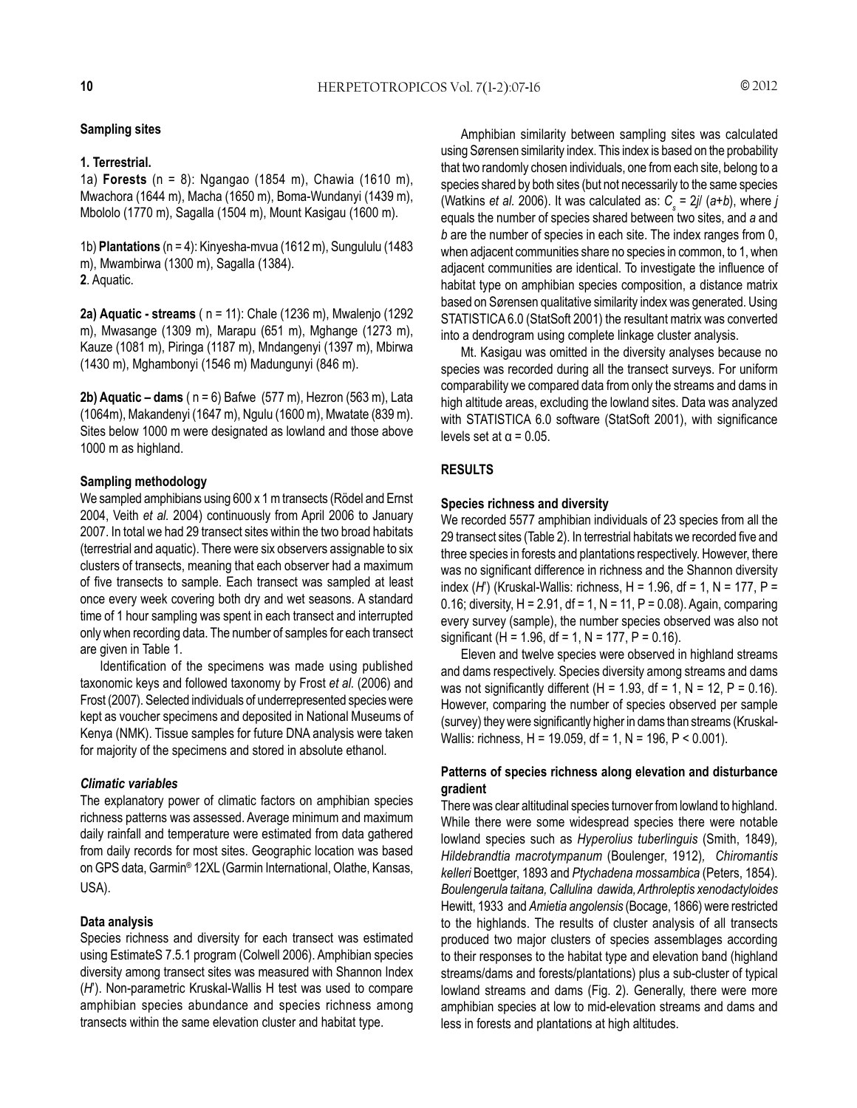#### **Sampling sites**

#### **1. Terrestrial.**

1a) **Forests** (n = 8): Ngangao (1854 m), Chawia (1610 m), Mwachora (1644 m), Macha (1650 m), Boma-Wundanyi (1439 m), Mbololo (1770 m), Sagalla (1504 m), Mount Kasigau (1600 m).

1b) **Plantations** (n = 4): Kinyesha-mvua (1612 m), Sungululu (1483 m), Mwambirwa (1300 m), Sagalla (1384). **2**. Aquatic.

**2a) Aquatic - streams** ( n = 11): Chale (1236 m), Mwalenjo (1292 m), Mwasange (1309 m), Marapu (651 m), Mghange (1273 m), Kauze (1081 m), Piringa (1187 m), Mndangenyi (1397 m), Mbirwa (1430 m), Mghambonyi (1546 m) Madungunyi (846 m).

**2b) Aquatic – dams** ( n = 6) Bafwe (577 m), Hezron (563 m), Lata (1064m), Makandenyi (1647 m), Ngulu (1600 m), Mwatate (839 m). Sites below 1000 m were designated as lowland and those above 1000 m as highland.

#### **Sampling methodology**

We sampled amphibians using 600 x 1 m transects (Rödel and Ernst 2004, Veith *et al.* 2004) continuously from April 2006 to January 2007. In total we had 29 transect sites within the two broad habitats (terrestrial and aquatic). There were six observers assignable to six clusters of transects, meaning that each observer had a maximum of five transects to sample. Each transect was sampled at least once every week covering both dry and wet seasons. A standard time of 1 hour sampling was spent in each transect and interrupted only when recording data. The number of samples for each transect are given in Table 1.

Identification of the specimens was made using published taxonomic keys and followed taxonomy by Frost *et al.* (2006) and Frost (2007). Selected individuals of underrepresented species were kept as voucher specimens and deposited in National Museums of Kenya (NMK). Tissue samples for future DNA analysis were taken for majority of the specimens and stored in absolute ethanol.

## *Climatic variables*

The explanatory power of climatic factors on amphibian species richness patterns was assessed. Average minimum and maximum daily rainfall and temperature were estimated from data gathered from daily records for most sites. Geographic location was based on GPS data, Garmin® 12XL (Garmin International, Olathe, Kansas, USA).

## **Data analysis**

Species richness and diversity for each transect was estimated using EstimateS 7.5.1 program (Colwell 2006). Amphibian species diversity among transect sites was measured with Shannon Index (*H*'). Non-parametric Kruskal-Wallis H test was used to compare amphibian species abundance and species richness among transects within the same elevation cluster and habitat type.

Amphibian similarity between sampling sites was calculated using Sørensen similarity index. This index is based on the probability that two randomly chosen individuals, one from each site, belong to a species shared by both sites (but not necessarily to the same species (Watkins *et al.* 2006). It was calculated as:  $C_{\text{s}}$  = 2*jl* (a+*b*), where *j* equals the number of species shared between two sites, and *a* and *b* are the number of species in each site. The index ranges from 0, when adjacent communities share no species in common, to 1, when adjacent communities are identical. To investigate the influence of habitat type on amphibian species composition, a distance matrix based on Sørensen qualitative similarity index was generated. Using STATISTICA 6.0 (StatSoft 2001) the resultant matrix was converted into a dendrogram using complete linkage cluster analysis.

Mt. Kasigau was omitted in the diversity analyses because no species was recorded during all the transect surveys. For uniform comparability we compared data from only the streams and dams in high altitude areas, excluding the lowland sites. Data was analyzed with STATISTICA 6.0 software (StatSoft 2001), with significance levels set at  $\alpha$  = 0.05.

## **RESULTS**

#### **Species richness and diversity**

We recorded 5577 amphibian individuals of 23 species from all the 29 transect sites (Table 2). In terrestrial habitats we recorded five and three species in forests and plantations respectively. However, there was no significant difference in richness and the Shannon diversity index (*H*') (Kruskal-Wallis: richness, H = 1.96, df = 1, N = 177, P = 0.16; diversity,  $H = 2.91$ ,  $df = 1$ ,  $N = 11$ ,  $P = 0.08$ ). Again, comparing every survey (sample), the number species observed was also not significant (H = 1.96, df = 1, N = 177, P = 0.16).

Eleven and twelve species were observed in highland streams and dams respectively. Species diversity among streams and dams was not significantly different  $(H = 1.93, df = 1, N = 12, P = 0.16)$ . However, comparing the number of species observed per sample (survey) they were significantly higher in dams than streams (Kruskal-Wallis: richness, H = 19.059, df = 1, N = 196, P < 0.001).

## **Patterns of species richness along elevation and disturbance gradient**

There was clear altitudinal species turnover from lowland to highland. While there were some widespread species there were notable lowland species such as *Hyperolius tuberlinguis* (Smith, 1849)*, Hildebrandtia macrotympanum* (Boulenger, 1912)*, Chiromantis kelleri* Boettger, 1893 and *Ptychadena mossambica* (Peters, 1854)*. Boulengerula taitana, Callulina dawida, Arthroleptis xenodactyloides* Hewitt, 1933 and *Amietia angolensis* (Bocage, 1866) were restricted to the highlands. The results of cluster analysis of all transects produced two major clusters of species assemblages according to their responses to the habitat type and elevation band (highland streams/dams and forests/plantations) plus a sub-cluster of typical lowland streams and dams (Fig. 2). Generally, there were more amphibian species at low to mid-elevation streams and dams and less in forests and plantations at high altitudes.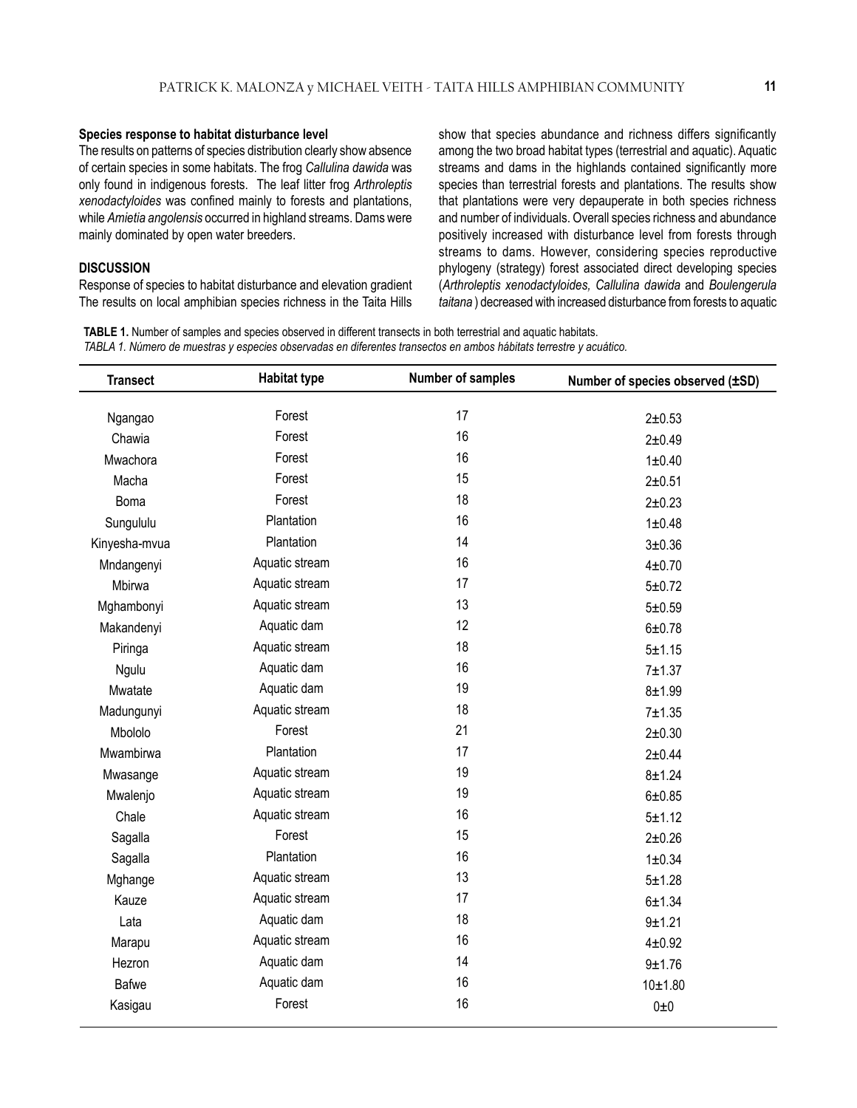#### **Species response to habitat disturbance level**

The results on patterns of species distribution clearly show absence of certain species in some habitats. The frog *Callulina dawida* was only found in indigenous forests. The leaf litter frog *Arthroleptis xenodactyloides* was confined mainly to forests and plantations, while *Amietia angolensis* occurred in highland streams. Dams were mainly dominated by open water breeders.

#### **DISCUSSION**

Response of species to habitat disturbance and elevation gradient The results on local amphibian species richness in the Taita Hills show that species abundance and richness differs significantly among the two broad habitat types (terrestrial and aquatic). Aquatic streams and dams in the highlands contained significantly more species than terrestrial forests and plantations. The results show that plantations were very depauperate in both species richness and number of individuals. Overall species richness and abundance positively increased with disturbance level from forests through streams to dams. However, considering species reproductive phylogeny (strategy) forest associated direct developing species (*Arthroleptis xenodactyloides, Callulina dawida* and *Boulengerula taitana* ) decreased with increased disturbance from forests to aquatic

**TABLE 1.** Number of samples and species observed in different transects in both terrestrial and aquatic habitats. *TABLA 1. Número de muestras y especies observadas en diferentes transectos en ambos hábitats terrestre y acuático.*

| <b>Transect</b> | <b>Habitat type</b><br><b>Number of samples</b> |    | Number of species observed (±SD) |
|-----------------|-------------------------------------------------|----|----------------------------------|
| Ngangao         | Forest                                          | 17 | $2 + 0.53$                       |
| Chawia          | Forest                                          | 16 | $2 + 0.49$                       |
| Mwachora        | Forest                                          | 16 | 1 ± 0.40                         |
| Macha           | Forest                                          | 15 |                                  |
|                 | Forest                                          | 18 | $2 + 0.51$                       |
| <b>Boma</b>     | Plantation                                      | 16 | $2 + 0.23$                       |
| Sungululu       | Plantation                                      | 14 | 1 ± 0.48                         |
| Kinyesha-mvua   |                                                 |    | $3 + 0.36$                       |
| Mndangenyi      | Aquatic stream                                  | 16 | $4 + 0.70$                       |
| Mbirwa          | Aquatic stream                                  | 17 | $5 + 0.72$                       |
| Mghambonyi      | Aquatic stream                                  | 13 | $5 + 0.59$                       |
| Makandenyi      | Aquatic dam                                     | 12 | $6 + 0.78$                       |
| Piringa         | Aquatic stream                                  | 18 | $5 + 1.15$                       |
| Ngulu           | Aquatic dam                                     | 16 | $7 + 1.37$                       |
| Mwatate         | Aquatic dam                                     | 19 | $8 + 1.99$                       |
| Madungunyi      | Aquatic stream                                  | 18 | $7 + 1.35$                       |
| Mbololo         | Forest                                          | 21 | $2 + 0.30$                       |
| Mwambirwa       | Plantation                                      | 17 | $2 + 0.44$                       |
| Mwasange        | Aquatic stream                                  | 19 | $8 + 1.24$                       |
| Mwalenjo        | Aquatic stream                                  | 19 | $6 + 0.85$                       |
| Chale           | Aquatic stream                                  | 16 | $5 + 1.12$                       |
| Sagalla         | Forest                                          | 15 | $2 + 0.26$                       |
| Sagalla         | Plantation                                      | 16 | 1 ± 0.34                         |
| Mghange         | Aquatic stream                                  | 13 | $5 + 1.28$                       |
| Kauze           | Aquatic stream                                  | 17 | $6 + 1.34$                       |
| Lata            | Aquatic dam                                     | 18 | $9 + 1.21$                       |
| Marapu          | Aquatic stream                                  | 16 | $4 + 0.92$                       |
| Hezron          | Aquatic dam                                     | 14 | $9 + 1.76$                       |
| <b>Bafwe</b>    | Aquatic dam                                     | 16 | $10 + 1.80$                      |
| Kasigau         | Forest                                          | 16 | $0\pm 0$                         |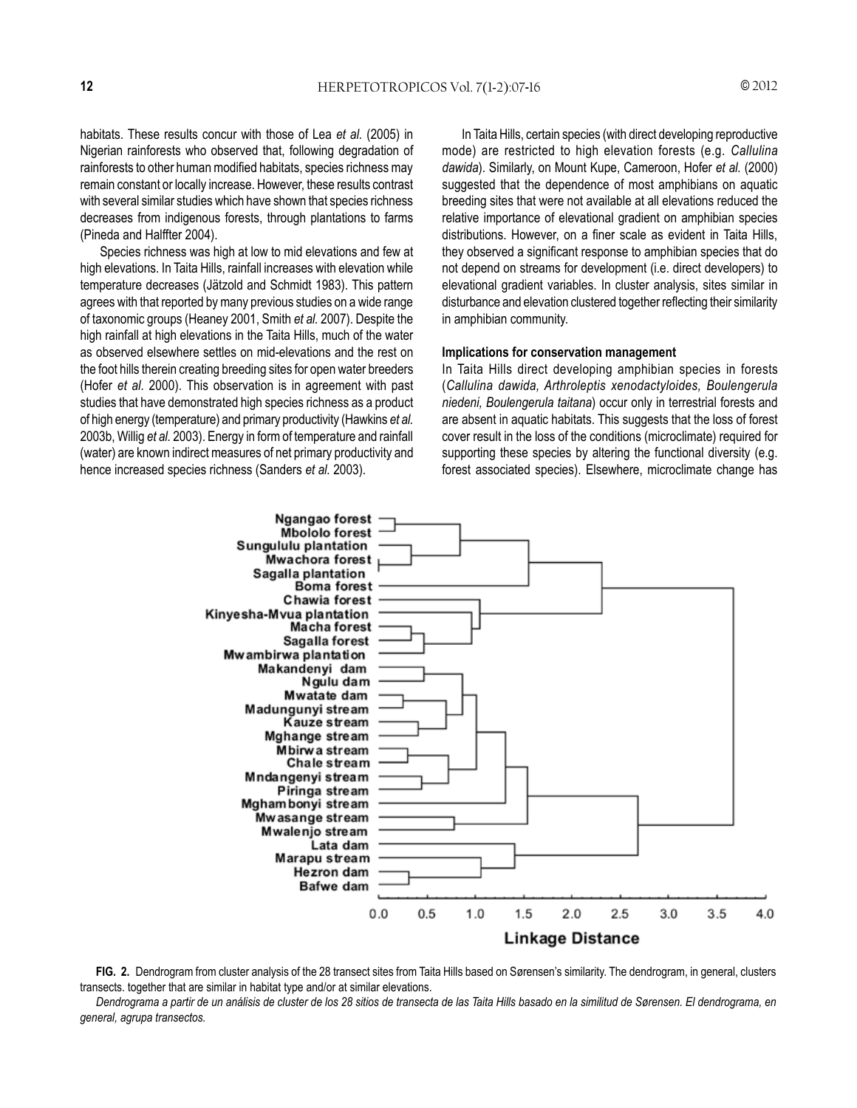habitats. These results concur with those of Lea *et al.* (2005) in Nigerian rainforests who observed that, following degradation of rainforests to other human modified habitats, species richness may remain constant or locally increase. However, these results contrast with several similar studies which have shown that species richness decreases from indigenous forests, through plantations to farms (Pineda and Halffter 2004).

Species richness was high at low to mid elevations and few at high elevations. In Taita Hills, rainfall increases with elevation while temperature decreases (Jätzold and Schmidt 1983). This pattern agrees with that reported by many previous studies on a wide range of taxonomic groups (Heaney 2001, Smith *et al.* 2007). Despite the high rainfall at high elevations in the Taita Hills, much of the water as observed elsewhere settles on mid-elevations and the rest on the foot hills therein creating breeding sites for open water breeders (Hofer *et al.* 2000). This observation is in agreement with past studies that have demonstrated high species richness as a product of high energy (temperature) and primary productivity (Hawkins *et al.* 2003b, Willig *et al.* 2003). Energy in form of temperature and rainfall (water) are known indirect measures of net primary productivity and hence increased species richness (Sanders *et al.* 2003).

In Taita Hills, certain species (with direct developing reproductive mode) are restricted to high elevation forests (e.g. *Callulina dawida*). Similarly, on Mount Kupe, Cameroon, Hofer *et al.* (2000) suggested that the dependence of most amphibians on aquatic breeding sites that were not available at all elevations reduced the relative importance of elevational gradient on amphibian species distributions. However, on a finer scale as evident in Taita Hills, they observed a significant response to amphibian species that do not depend on streams for development (i.e. direct developers) to elevational gradient variables. In cluster analysis, sites similar in disturbance and elevation clustered together reflecting their similarity in amphibian community.

#### **Implications for conservation management**

In Taita Hills direct developing amphibian species in forests (*Callulina dawida, Arthroleptis xenodactyloides, Boulengerula niedeni, Boulengerula taitana*) occur only in terrestrial forests and are absent in aquatic habitats. This suggests that the loss of forest cover result in the loss of the conditions (microclimate) required for supporting these species by altering the functional diversity (e.g. forest associated species). Elsewhere, microclimate change has



**FIG. 2.** Dendrogram from cluster analysis of the 28 transect sites from Taita Hills based on Sørensen's similarity. The dendrogram, in general, clusters transects. together that are similar in habitat type and/or at similar elevations.

*Dendrograma a partir de un análisis de cluster de los 28 sitios de transecta de las Taita Hills basado en la similitud de Sørensen. El dendrograma, en general, agrupa transectos.*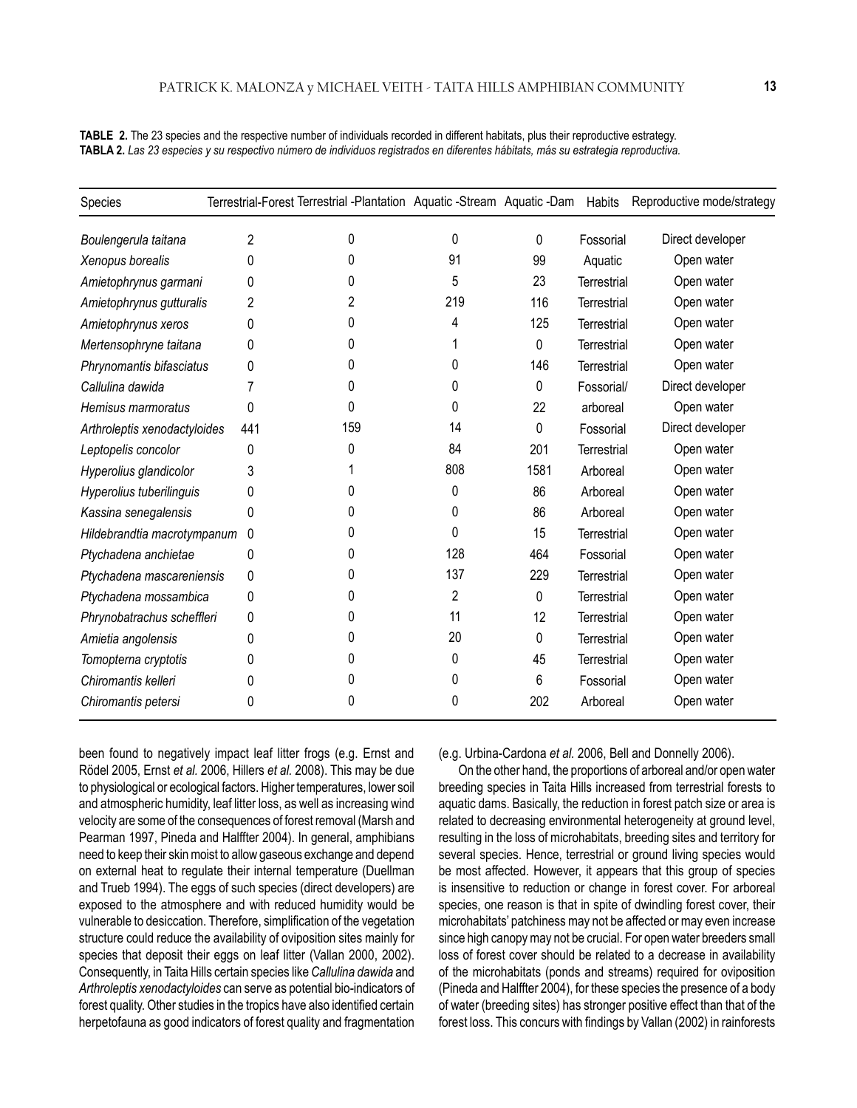**TABLE 2.** The 23 species and the respective number of individuals recorded in different habitats, plus their reproductive estrategy. **TABLA 2.** *Las 23 especies y su respectivo número de individuos registrados en diferentes hábitats, más su estrategia reproductiva.*

| Species                      |     | Terrestrial-Forest Terrestrial -Plantation Aquatic -Stream Aquatic -Dam |          |             | Habits             | Reproductive mode/strategy |
|------------------------------|-----|-------------------------------------------------------------------------|----------|-------------|--------------------|----------------------------|
| Boulengerula taitana         | 2   | 0                                                                       | 0        | $\mathbf 0$ | Fossorial          | Direct developer           |
| Xenopus borealis             | 0   | 0                                                                       | 91       | 99          | Aquatic            | Open water                 |
| Amietophrynus garmani        | 0   | 0                                                                       | 5        | 23          | <b>Terrestrial</b> | Open water                 |
| Amietophrynus gutturalis     | 2   | 2                                                                       | 219      | 116         | Terrestrial        | Open water                 |
| Amietophrynus xeros          | 0   | $\Omega$                                                                | 4        | 125         | Terrestrial        | Open water                 |
| Mertensophryne taitana       | 0   | $\Omega$                                                                |          | 0           | Terrestrial        | Open water                 |
| Phrynomantis bifasciatus     | 0   | 0                                                                       | 0        | 146         | <b>Terrestrial</b> | Open water                 |
| Callulina dawida             |     | 0                                                                       | 0        | 0           | Fossorial/         | Direct developer           |
| Hemisus marmoratus           | 0   | 0                                                                       | 0        | 22          | arboreal           | Open water                 |
| Arthroleptis xenodactyloides | 441 | 159                                                                     | 14       | 0           | Fossorial          | Direct developer           |
| Leptopelis concolor          | 0   | 0                                                                       | 84       | 201         | Terrestrial        | Open water                 |
| Hyperolius glandicolor       | 3   |                                                                         | 808      | 1581        | Arboreal           | Open water                 |
| Hyperolius tuberilinguis     | 0   | 0                                                                       | 0        | 86          | Arboreal           | Open water                 |
| Kassina senegalensis         | 0   | 0                                                                       | 0        | 86          | Arboreal           | Open water                 |
| Hildebrandtia macrotympanum  | 0   | 0                                                                       | $\Omega$ | 15          | Terrestrial        | Open water                 |
| Ptychadena anchietae         | 0   | 0                                                                       | 128      | 464         | Fossorial          | Open water                 |
| Ptychadena mascareniensis    | 0   | 0                                                                       | 137      | 229         | Terrestrial        | Open water                 |
| Ptychadena mossambica        | 0   | 0                                                                       | 2        | 0           | <b>Terrestrial</b> | Open water                 |
| Phrynobatrachus scheffleri   | 0   | 0                                                                       | 11       | 12          | Terrestrial        | Open water                 |
| Amietia angolensis           | 0   | 0                                                                       | 20       | $\mathbf 0$ | Terrestrial        | Open water                 |
| Tomopterna cryptotis         | 0   | 0                                                                       | 0        | 45          | Terrestrial        | Open water                 |
| Chiromantis kelleri          | 0   | 0                                                                       | 0        | 6           | Fossorial          | Open water                 |
| Chiromantis petersi          | 0   | 0                                                                       | 0        | 202         | Arboreal           | Open water                 |

been found to negatively impact leaf litter frogs (e.g. Ernst and Rödel 2005, Ernst *et al.* 2006, Hillers *et al.* 2008). This may be due to physiological or ecological factors. Higher temperatures, lower soil and atmospheric humidity, leaf litter loss, as well as increasing wind velocity are some of the consequences of forest removal (Marsh and Pearman 1997, Pineda and Halffter 2004). In general, amphibians need to keep their skin moist to allow gaseous exchange and depend on external heat to regulate their internal temperature (Duellman and Trueb 1994). The eggs of such species (direct developers) are exposed to the atmosphere and with reduced humidity would be vulnerable to desiccation. Therefore, simplification of the vegetation structure could reduce the availability of oviposition sites mainly for species that deposit their eggs on leaf litter (Vallan 2000, 2002). Consequently, in Taita Hills certain species like *Callulina dawida* and *Arthroleptis xenodactyloides* can serve as potential bio-indicators of forest quality. Other studies in the tropics have also identified certain herpetofauna as good indicators of forest quality and fragmentation

(e.g. Urbina-Cardona *et al.* 2006, Bell and Donnelly 2006).

On the other hand, the proportions of arboreal and/or open water breeding species in Taita Hills increased from terrestrial forests to aquatic dams. Basically, the reduction in forest patch size or area is related to decreasing environmental heterogeneity at ground level, resulting in the loss of microhabitats, breeding sites and territory for several species. Hence, terrestrial or ground living species would be most affected. However, it appears that this group of species is insensitive to reduction or change in forest cover. For arboreal species, one reason is that in spite of dwindling forest cover, their microhabitats' patchiness may not be affected or may even increase since high canopy may not be crucial. For open water breeders small loss of forest cover should be related to a decrease in availability of the microhabitats (ponds and streams) required for oviposition (Pineda and Halffter 2004), for these species the presence of a body of water (breeding sites) has stronger positive effect than that of the forest loss. This concurs with findings by Vallan (2002) in rainforests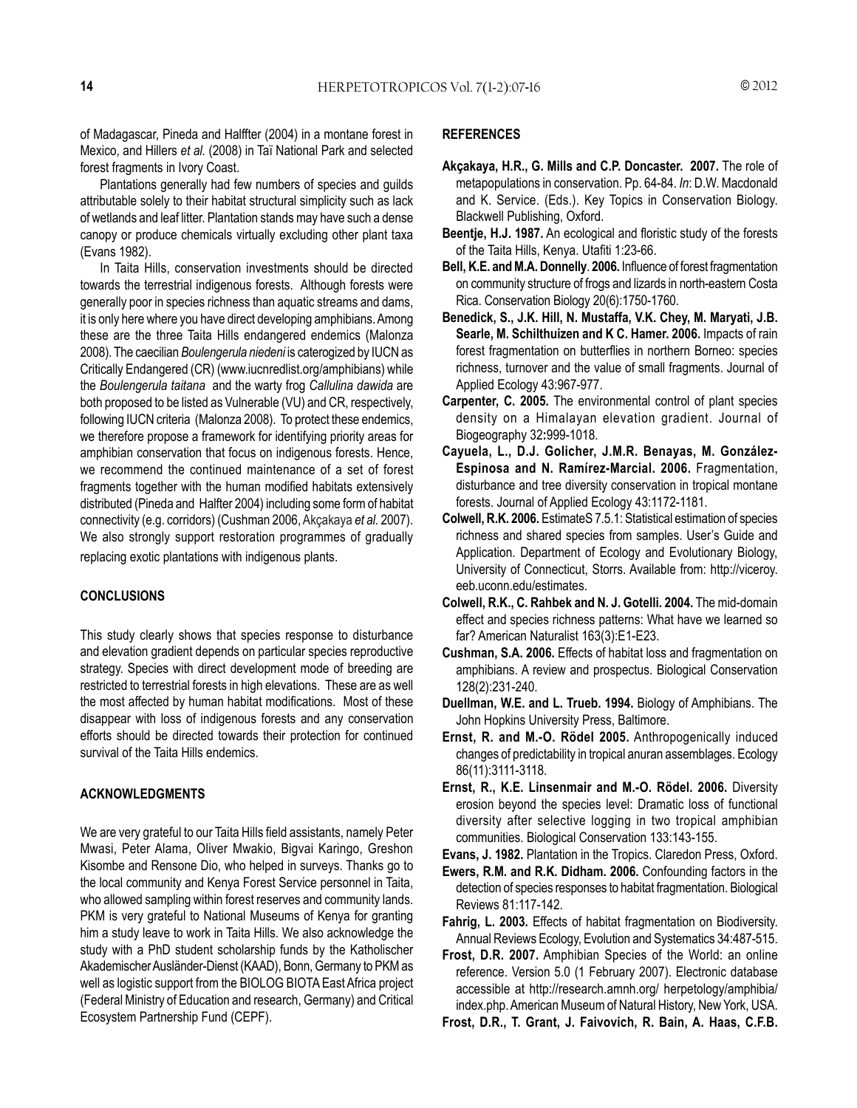of Madagascar, Pineda and Halffter (2004) in a montane forest in Mexico, and Hillers *et al.* (2008) in Taї National Park and selected forest fragments in Ivory Coast.

Plantations generally had few numbers of species and guilds attributable solely to their habitat structural simplicity such as lack of wetlands and leaf litter. Plantation stands may have such a dense canopy or produce chemicals virtually excluding other plant taxa (Evans 1982).

In Taita Hills, conservation investments should be directed towards the terrestrial indigenous forests. Although forests were generally poor in species richness than aquatic streams and dams, it is only here where you have direct developing amphibians. Among these are the three Taita Hills endangered endemics (Malonza 2008). The caecilian *Boulengerula niedeni* is caterogized by IUCN as Critically Endangered (CR) (www.iucnredlist.org/amphibians) while the *Boulengerula taitana* and the warty frog *Callulina dawida* are both proposed to be listed as Vulnerable (VU) and CR, respectively, following IUCN criteria (Malonza 2008). To protect these endemics, we therefore propose a framework for identifying priority areas for amphibian conservation that focus on indigenous forests. Hence, we recommend the continued maintenance of a set of forest fragments together with the human modified habitats extensively distributed (Pineda and Halfter 2004) including some form of habitat connectivity (e.g. corridors) (Cushman 2006, Akçakaya *et al.* 2007). We also strongly support restoration programmes of gradually replacing exotic plantations with indigenous plants.

#### **CONCLUSIONS**

This study clearly shows that species response to disturbance and elevation gradient depends on particular species reproductive strategy. Species with direct development mode of breeding are restricted to terrestrial forests in high elevations. These are as well the most affected by human habitat modifications. Most of these disappear with loss of indigenous forests and any conservation efforts should be directed towards their protection for continued survival of the Taita Hills endemics.

#### **ACKNOWLEDGMENTS**

We are very grateful to our Taita Hills field assistants, namely Peter Mwasi, Peter Alama, Oliver Mwakio, Bigvai Karingo, Greshon Kisombe and Rensone Dio, who helped in surveys. Thanks go to the local community and Kenya Forest Service personnel in Taita, who allowed sampling within forest reserves and community lands. PKM is very grateful to National Museums of Kenya for granting him a study leave to work in Taita Hills. We also acknowledge the study with a PhD student scholarship funds by the Katholischer Akademischer Ausländer-Dienst (KAAD), Bonn, Germany to PKM as well as logistic support from the BIOLOG BIOTA East Africa project (Federal Ministry of Education and research, Germany) and Critical Ecosystem Partnership Fund (CEPF).

#### **REFERENCES**

- **Akçakaya, H.R., G. Mills and C.P. Doncaster. 2007.** The role of metapopulations in conservation. Pp. 64-84. *In*: D.W. Macdonald and K. Service. (Eds.). Key Topics in Conservation Biology. Blackwell Publishing, Oxford.
- **Beentje, H.J. 1987.** An ecological and floristic study of the forests of the Taita Hills, Kenya. Utafiti 1:23-66.
- **Bell, K.E. and M.A. Donnelly**. **2006.** Influence of forest fragmentation on community structure of frogs and lizards in north-eastern Costa Rica. Conservation Biology 20(6):1750-1760.
- **Benedick, S., J.K. Hill, N. Mustaffa, V.K. Chey, M. Maryati, J.B. Searle, M. Schilthuizen and K C. Hamer. 2006.** Impacts of rain forest fragmentation on butterflies in northern Borneo: species richness, turnover and the value of small fragments. Journal of Applied Ecology 43:967-977.
- **Carpenter, C. 2005.** The environmental control of plant species density on a Himalayan elevation gradient. Journal of Biogeography 32**:**999-1018.
- **Cayuela, L., D.J. Golicher, J.M.R. Benayas, M. González-Espinosa and N. Ramírez-Marcial. 2006.** Fragmentation, disturbance and tree diversity conservation in tropical montane forests. Journal of Applied Ecology 43:1172-1181.
- **Colwell, R.K. 2006.** EstimateS 7.5.1: Statistical estimation of species richness and shared species from samples. User's Guide and Application. Department of Ecology and Evolutionary Biology, University of Connecticut, Storrs. Available from: http://viceroy. eeb.uconn.edu/estimates.
- **Colwell, R.K., C. Rahbek and N. J. Gotelli. 2004.** The mid-domain effect and species richness patterns: What have we learned so far? American Naturalist 163(3):E1-E23.
- **Cushman, S.A. 2006.** Effects of habitat loss and fragmentation on amphibians. A review and prospectus. Biological Conservation 128(2):231-240.
- **Duellman, W.E. and L. Trueb. 1994.** Biology of Amphibians. The John Hopkins University Press, Baltimore.
- **Ernst, R. and M.-O. Rödel 2005.** Anthropogenically induced changes of predictability in tropical anuran assemblages. Ecology 86(11):3111-3118.
- **Ernst, R., K.E. Linsenmair and M.-O. Rödel. 2006.** Diversity erosion beyond the species level: Dramatic loss of functional diversity after selective logging in two tropical amphibian communities. Biological Conservation 133:143-155.
- **Evans, J. 1982.** Plantation in the Tropics. Claredon Press, Oxford.
- **Ewers, R.M. and R.K. Didham. 2006.** Confounding factors in the detection of species responses to habitat fragmentation. Biological Reviews 81:117-142.
- **Fahrig, L. 2003.** Effects of habitat fragmentation on Biodiversity. Annual Reviews Ecology, Evolution and Systematics 34:487-515.
- **Frost, D.R. 2007.** Amphibian Species of the World: an online reference. Version 5.0 (1 February 2007). Electronic database accessible at http://research.amnh.org/ herpetology/amphibia/ index.php. American Museum of Natural History, New York, USA.
- **Frost, D.R., T. Grant, J. Faivovich, R. Bain, A. Haas, C.F.B.**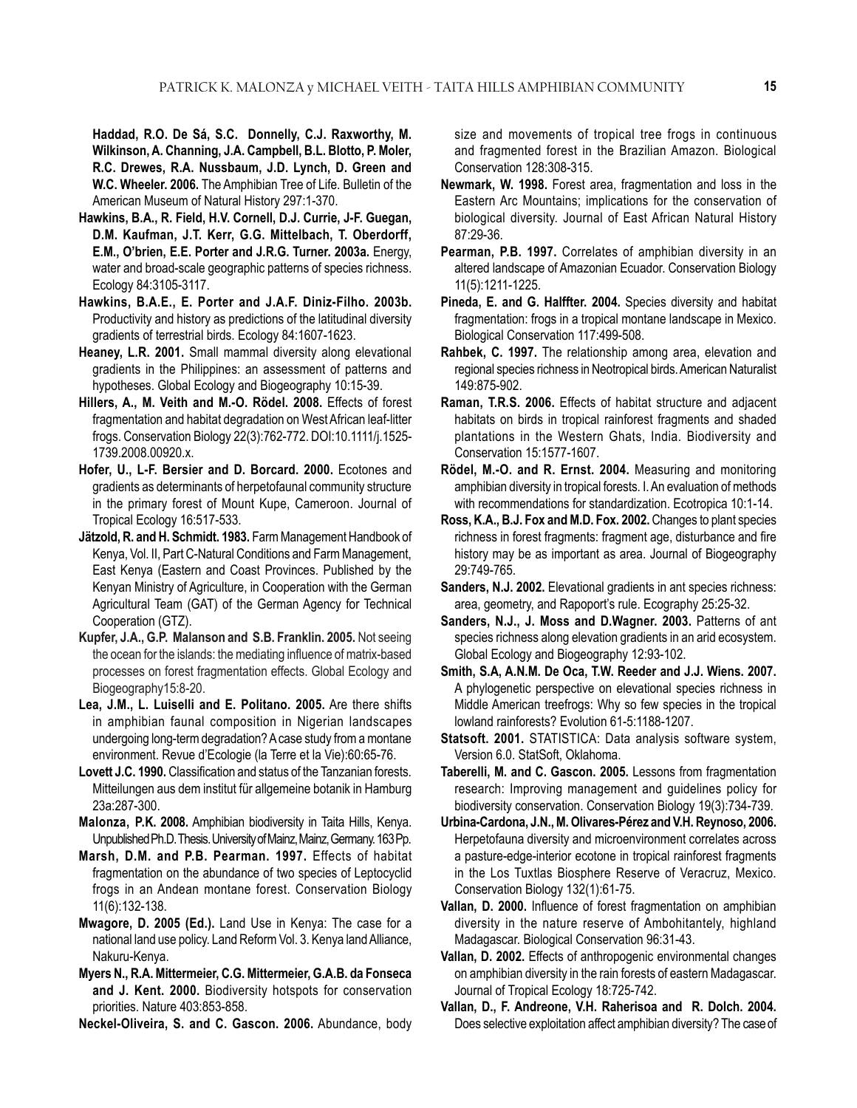**Haddad, R.O. De Sá, S.C. Donnelly, C.J. Raxworthy, M. Wilkinson, A. Channing, J.A. Campbell, B.L. Blotto, P. Moler, R.C. Drewes, R.A. Nussbaum, J.D. Lynch, D. Green and W.C. Wheeler. 2006.** The Amphibian Tree of Life. Bulletin of the American Museum of Natural History 297:1-370.

- **Hawkins, B.A., R. Field, H.V. Cornell, D.J. Currie, J-F. Guegan, D.M. Kaufman, J.T. Kerr, G.G. Mittelbach, T. Oberdorff, E.M., O'brien, E.E. Porter and J.R.G. Turner. 2003a.** Energy, water and broad-scale geographic patterns of species richness. Ecology 84:3105-3117.
- **Hawkins, B.A.E., E. Porter and J.A.F. Diniz-Filho. 2003b.** Productivity and history as predictions of the latitudinal diversity gradients of terrestrial birds. Ecology 84:1607-1623.
- **Heaney, L.R. 2001.** Small mammal diversity along elevational gradients in the Philippines: an assessment of patterns and hypotheses. Global Ecology and Biogeography 10:15-39.
- **Hillers, A., M. Veith and M.-O. Rödel. 2008.** Effects of forest fragmentation and habitat degradation on West African leaf-litter frogs. Conservation Biology 22(3):762-772. DOI:10.1111/j.1525- 1739.2008.00920.x.
- **Hofer, U., L-F. Bersier and D. Borcard. 2000.** Ecotones and gradients as determinants of herpetofaunal community structure in the primary forest of Mount Kupe, Cameroon. Journal of Tropical Ecology 16:517-533.
- **Jätzold, R. and H. Schmidt. 1983.** Farm Management Handbook of Kenya, Vol. II, Part C-Natural Conditions and Farm Management, East Kenya (Eastern and Coast Provinces. Published by the Kenyan Ministry of Agriculture, in Cooperation with the German Agricultural Team (GAT) of the German Agency for Technical Cooperation (GTZ).
- **Kupfer, J.A., G.P. Malanson and S.B. Franklin. 2005.** Not seeing the ocean for the islands: the mediating influence of matrix-based processes on forest fragmentation effects. Global Ecology and Biogeography15:8-20.
- **Lea, J.M., L. Luiselli and E. Politano. 2005.** Are there shifts in amphibian faunal composition in Nigerian landscapes undergoing long-term degradation? A case study from a montane environment. Revue d'Ecologie (la Terre et la Vie):60:65-76.
- **Lovett J.C. 1990.** Classification and status of the Tanzanian forests. Mitteilungen aus dem institut für allgemeine botanik in Hamburg 23a:287-300.
- **Malonza, P.K. 2008.** Amphibian biodiversity in Taita Hills, Kenya. Unpublished Ph.D. Thesis. University of Mainz, Mainz, Germany. 163 Pp.
- **Marsh, D.M. and P.B. Pearman. 1997.** Effects of habitat fragmentation on the abundance of two species of Leptocyclid frogs in an Andean montane forest. Conservation Biology 11(6):132-138.
- **Mwagore, D. 2005 (Ed.).** Land Use in Kenya: The case for a national land use policy. Land Reform Vol. 3. Kenya land Alliance, Nakuru-Kenya.
- **Myers N., R.A. Mittermeier, C.G. Mittermeier, G.A.B. da Fonseca and J. Kent. 2000.** Biodiversity hotspots for conservation priorities. Nature 403:853-858.

**Neckel-Oliveira, S. and C. Gascon. 2006.** Abundance, body

size and movements of tropical tree frogs in continuous and fragmented forest in the Brazilian Amazon. Biological Conservation 128:308-315.

- **Newmark, W. 1998.** Forest area, fragmentation and loss in the Eastern Arc Mountains; implications for the conservation of biological diversity. Journal of East African Natural History 87:29-36.
- **Pearman, P.B. 1997.** Correlates of amphibian diversity in an altered landscape of Amazonian Ecuador. Conservation Biology 11(5):1211-1225.
- **Pineda, E. and G. Halffter. 2004.** Species diversity and habitat fragmentation: frogs in a tropical montane landscape in Mexico. Biological Conservation 117:499-508.
- **Rahbek, C. 1997.** The relationship among area, elevation and regional species richness in Neotropical birds. American Naturalist 149:875-902.
- **Raman, T.R.S. 2006.** Effects of habitat structure and adjacent habitats on birds in tropical rainforest fragments and shaded plantations in the Western Ghats, India. Biodiversity and Conservation 15:1577-1607.
- **Rödel, M.-O. and R. Ernst. 2004.** Measuring and monitoring amphibian diversity in tropical forests. I. An evaluation of methods with recommendations for standardization. Ecotropica 10:1-14.
- **Ross, K.A., B.J. Fox and M.D. Fox. 2002.** Changes to plant species richness in forest fragments: fragment age, disturbance and fire history may be as important as area. Journal of Biogeography 29:749-765.
- **Sanders, N.J. 2002.** Elevational gradients in ant species richness: area, geometry, and Rapoport's rule. Ecography 25:25-32.
- **Sanders, N.J., J. Moss and D.Wagner. 2003.** Patterns of ant species richness along elevation gradients in an arid ecosystem. Global Ecology and Biogeography 12:93-102.
- **Smith, S.A, A.N.M. De Oca, T.W. Reeder and J.J. Wiens. 2007.** A phylogenetic perspective on elevational species richness in Middle American treefrogs: Why so few species in the tropical lowland rainforests? Evolution 61-5:1188-1207.
- **Statsoft. 2001.** STATISTICA: Data analysis software system, Version 6.0. StatSoft, Oklahoma.
- **Taberelli, M. and C. Gascon. 2005.** Lessons from fragmentation research: Improving management and guidelines policy for biodiversity conservation. Conservation Biology 19(3):734-739.
- **Urbina-Cardona, J.N., M. Olivares-Pérez and V.H. Reynoso, 2006.** Herpetofauna diversity and microenvironment correlates across a pasture-edge-interior ecotone in tropical rainforest fragments in the Los Tuxtlas Biosphere Reserve of Veracruz, Mexico. Conservation Biology 132(1):61-75.
- **Vallan, D. 2000.** Influence of forest fragmentation on amphibian diversity in the nature reserve of Ambohitantely, highland Madagascar. Biological Conservation 96:31-43.
- **Vallan, D. 2002.** Effects of anthropogenic environmental changes on amphibian diversity in the rain forests of eastern Madagascar. Journal of Tropical Ecology 18:725-742.
- **Vallan, D., F. Andreone, V.H. Raherisoa and R. Dolch. 2004.** Does selective exploitation affect amphibian diversity? The case of